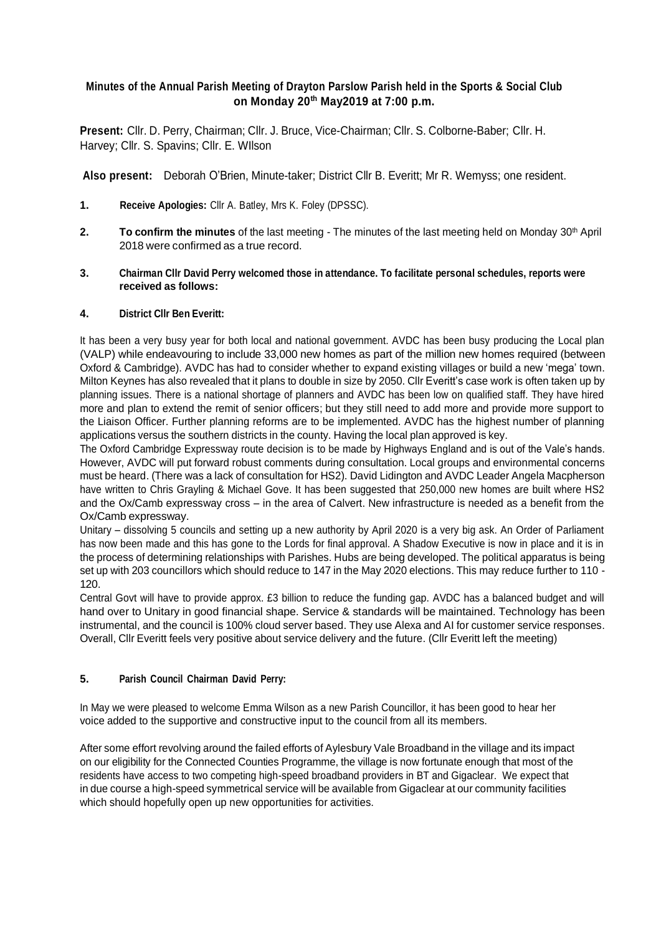# **Minutes of the Annual Parish Meeting of Drayton Parslow Parish held in the Sports & Social Club on Monday 20th May2019 at 7:00 p.m.**

**Present:** Cllr. D. Perry, Chairman; Cllr. J. Bruce, Vice-Chairman; Cllr. S. Colborne-Baber; Cllr. H. Harvey; Cllr. S. Spavins; Cllr. E. WIlson

**Also present:** Deborah O'Brien, Minute-taker; District Cllr B. Everitt; Mr R. Wemyss; one resident.

- **1. Receive Apologies:** Cllr A. Batley, Mrs K. Foley (DPSSC).
- **2. To confirm the minutes** of the last meeting The minutes of the last meeting held on Monday 30<sup>th</sup> April 2018 were confirmed as a true record.
- **3. Chairman Cllr David Perry welcomed those in attendance. To facilitate personal schedules, reports were received as follows:**

### **4. District Cllr Ben Everitt:**

It has been a very busy year for both local and national government. AVDC has been busy producing the Local plan (VALP) while endeavouring to include 33,000 new homes as part of the million new homes required (between Oxford & Cambridge). AVDC has had to consider whether to expand existing villages or build a new 'mega' town. Milton Keynes has also revealed that it plans to double in size by 2050. Cllr Everitt's case work is often taken up by planning issues. There is a national shortage of planners and AVDC has been low on qualified staff. They have hired more and plan to extend the remit of senior officers; but they still need to add more and provide more support to the Liaison Officer. Further planning reforms are to be implemented. AVDC has the highest number of planning applications versus the southern districts in the county. Having the local plan approved is key.

The Oxford Cambridge Expressway route decision is to be made by Highways England and is out of the Vale's hands. However, AVDC will put forward robust comments during consultation. Local groups and environmental concerns must be heard. (There was a lack of consultation for HS2). David Lidington and AVDC Leader Angela Macpherson have written to Chris Grayling & Michael Gove. It has been suggested that 250,000 new homes are built where HS2 and the Ox/Camb expressway cross – in the area of Calvert. New infrastructure is needed as a benefit from the Ox/Camb expressway.

Unitary – dissolving 5 councils and setting up a new authority by April 2020 is a very big ask. An Order of Parliament has now been made and this has gone to the Lords for final approval. A Shadow Executive is now in place and it is in the process of determining relationships with Parishes. Hubs are being developed. The political apparatus is being set up with 203 councillors which should reduce to 147 in the May 2020 elections. This may reduce further to 110 - 120.

Central Govt will have to provide approx. £3 billion to reduce the funding gap. AVDC has a balanced budget and will hand over to Unitary in good financial shape. Service & standards will be maintained. Technology has been instrumental, and the council is 100% cloud server based. They use Alexa and AI for customer service responses. Overall, Cllr Everitt feels very positive about service delivery and the future. (Cllr Everitt left the meeting)

# **5. Parish Council Chairman David Perry:**

In May we were pleased to welcome Emma Wilson as a new Parish Councillor, it has been good to hear her voice added to the supportive and constructive input to the council from all its members.

After some effort revolving around the failed efforts of Aylesbury Vale Broadband in the village and its impact on our eligibility for the Connected Counties Programme, the village is now fortunate enough that most of the residents have access to two competing high-speed broadband providers in BT and Gigaclear. We expect that in due course a high-speed symmetrical service will be available from Gigaclear at our community facilities which should hopefully open up new opportunities for activities.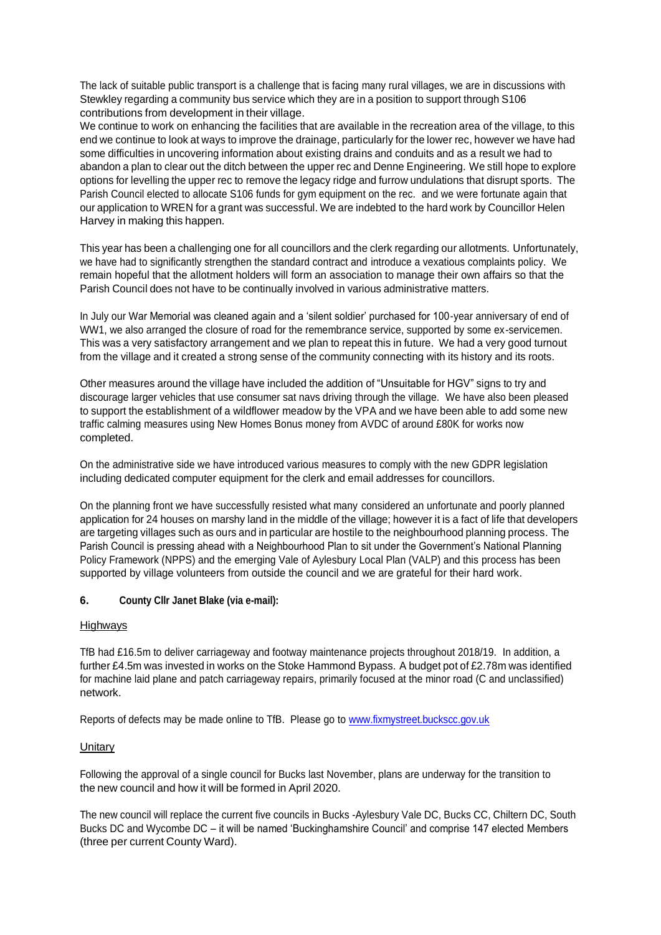The lack of suitable public transport is a challenge that is facing many rural villages, we are in discussions with Stewkley regarding a community bus service which they are in a position to support through S106 contributions from development in their village.

We continue to work on enhancing the facilities that are available in the recreation area of the village, to this end we continue to look at ways to improve the drainage, particularly for the lower rec, however we have had some difficulties in uncovering information about existing drains and conduits and as a result we had to abandon a plan to clear out the ditch between the upper rec and Denne Engineering. We still hope to explore options for levelling the upper rec to remove the legacy ridge and furrow undulations that disrupt sports. The Parish Council elected to allocate S106 funds for gym equipment on the rec. and we were fortunate again that our application to WREN for a grant was successful. We are indebted to the hard work by Councillor Helen Harvey in making this happen.

This year has been a challenging one for all councillors and the clerk regarding our allotments. Unfortunately, we have had to significantly strengthen the standard contract and introduce a vexatious complaints policy. We remain hopeful that the allotment holders will form an association to manage their own affairs so that the Parish Council does not have to be continually involved in various administrative matters.

In July our War Memorial was cleaned again and a 'silent soldier' purchased for 100-year anniversary of end of WW1, we also arranged the closure of road for the remembrance service, supported by some ex-servicemen. This was a very satisfactory arrangement and we plan to repeat this in future. We had a very good turnout from the village and it created a strong sense of the community connecting with its history and its roots.

Other measures around the village have included the addition of "Unsuitable for HGV" signs to try and discourage larger vehicles that use consumer sat navs driving through the village. We have also been pleased to support the establishment of a wildflower meadow by the VPA and we have been able to add some new traffic calming measures using New Homes Bonus money from AVDC of around £80K for works now completed.

On the administrative side we have introduced various measures to comply with the new GDPR legislation including dedicated computer equipment for the clerk and email addresses for councillors.

On the planning front we have successfully resisted what many considered an unfortunate and poorly planned application for 24 houses on marshy land in the middle of the village; however it is a fact of life that developers are targeting villages such as ours and in particular are hostile to the neighbourhood planning process. The Parish Council is pressing ahead with a Neighbourhood Plan to sit under the Government's National Planning Policy Framework (NPPS) and the emerging Vale of Aylesbury Local Plan (VALP) and this process has been supported by village volunteers from outside the council and we are grateful for their hard work.

# **6. County Cllr Janet Blake (via e-mail):**

#### Highways

TfB had £16.5m to deliver carriageway and footway maintenance projects throughout 2018/19. In addition, a further £4.5m was invested in works on the Stoke Hammond Bypass. A budget pot of £2.78m was identified for machine laid plane and patch carriageway repairs, primarily focused at the minor road (C and unclassified) network.

Reports of defects may be made online to TfB. Please go to [www.fixmystreet.buckscc.gov.uk](http://www.fixmystreet.buckscc.gov.uk/)

#### **Unitary**

Following the approval of a single council for Bucks last November, plans are underway for the transition to the new council and how it will be formed in April 2020.

The new council will replace the current five councils in Bucks -Aylesbury Vale DC, Bucks CC, Chiltern DC, South Bucks DC and Wycombe DC – it will be named 'Buckinghamshire Council' and comprise 147 elected Members (three per current County Ward).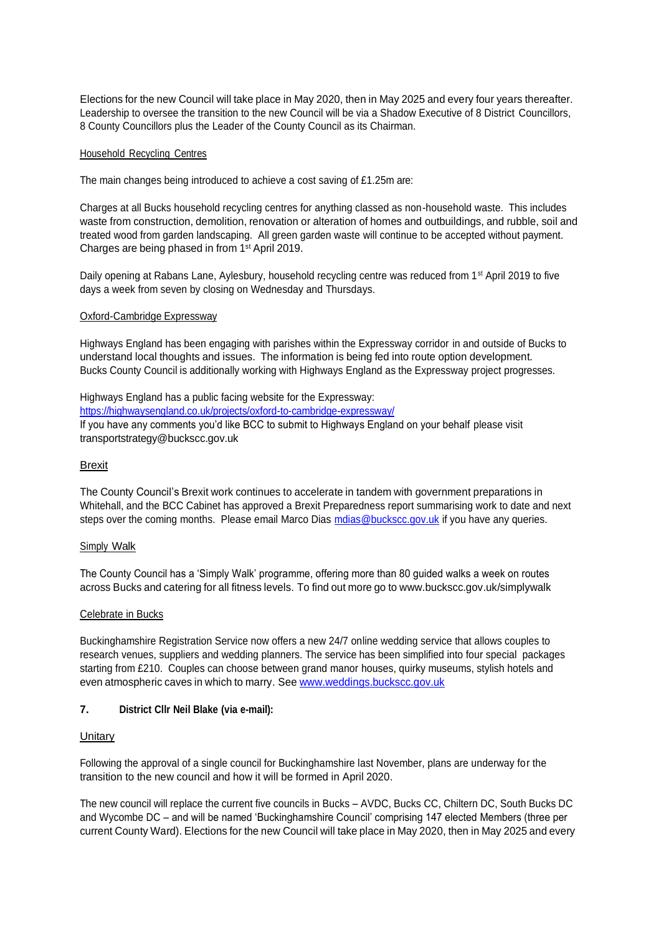Elections for the new Council will take place in May 2020, then in May 2025 and every four years thereafter. Leadership to oversee the transition to the new Council will be via a Shadow Executive of 8 District Councillors, 8 County Councillors plus the Leader of the County Council as its Chairman.

#### Household Recycling Centres

The main changes being introduced to achieve a cost saving of £1.25m are:

Charges at all Bucks household recycling centres for anything classed as non-household waste. This includes waste from construction, demolition, renovation or alteration of homes and outbuildings, and rubble, soil and treated wood from garden landscaping. All green garden waste will continue to be accepted without payment. Charges are being phased in from 1 st April 2019.

Daily opening at Rabans Lane, Aylesbury, household recycling centre was reduced from 1<sup>st</sup> April 2019 to five days a week from seven by closing on Wednesday and Thursdays.

### Oxford-Cambridge Expressway

Highways England has been engaging with parishes within the Expressway corridor in and outside of Bucks to understand local thoughts and issues. The information is being fed into route option development. Bucks County Council is additionally working with Highways England as the Expressway project progresses.

#### Highways England has a public facing website for the Expressway:

<https://highwaysengland.co.uk/projects/oxford-to-cambridge-expressway/>

If you have any comments you'd like BCC to submit to Highways England on your behalf please visit [transportstrategy@buckscc.gov.uk](mailto:transportstrategy@buckscc.gov.uk)

### Brexit

The County Council's Brexit work continues to accelerate in tandem with government preparations in Whitehall, and the BCC Cabinet has approved a Brexit Preparedness report summarising work to date and next steps over the coming months. Please email Marco Dias molas @buckscc.gov.uk if you have any queries.

#### Simply Walk

The County Council has a 'Simply Walk' programme, offering more than 80 guided walks a week on routes across Bucks and catering for all fitness levels. To find out more go to [www.buckscc.gov.uk/simplywalk](http://www.buckscc.gov.uk/simplywalk)

#### Celebrate in Bucks

Buckinghamshire Registration Service now offers a new 24/7 online wedding service that allows couples to research venues, suppliers and wedding planners. The service has been simplified into four special packages starting from £210. Couples can choose between grand manor houses, quirky museums, stylish hotels and even atmospheric caves in which to marry. See [www.weddings.buckscc.gov.uk](http://www.weddings.buckscc.gov.uk/)

# **7. District Cllr Neil Blake (via e-mail):**

# **Unitary**

Following the approval of a single council for Buckinghamshire last November, plans are underway for the transition to the new council and how it will be formed in April 2020.

The new council will replace the current five councils in Bucks – AVDC, Bucks CC, Chiltern DC, South Bucks DC and Wycombe DC – and will be named 'Buckinghamshire Council' comprising 147 elected Members (three per current County Ward). Elections for the new Council will take place in May 2020, then in May 2025 and every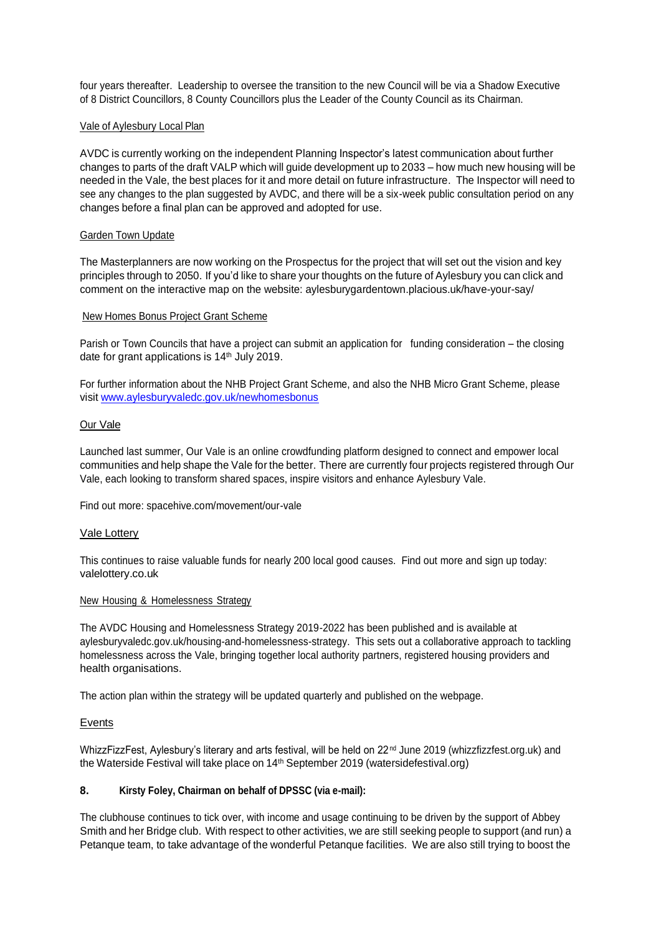four years thereafter. Leadership to oversee the transition to the new Council will be via a Shadow Executive of 8 District Councillors, 8 County Councillors plus the Leader of the County Council as its Chairman.

### Vale of Aylesbury Local Plan

AVDC is currently working on the independent Planning Inspector's latest communication about further changes to parts of the draft VALP which will guide development up to 2033 – how much new housing will be needed in the Vale, the best places for it and more detail on future infrastructure. The Inspector will need to see any changes to the plan suggested by AVDC, and there will be a six-week public consultation period on any changes before a final plan can be approved and adopted for use.

### **Garden Town Update**

The Masterplanners are now working on the Prospectus for the project that will set out the vision and key principles through to 2050. If you'd like to share your thoughts on the future of Aylesbury you can click and comment on the interactive map on the website: aylesburygardentown.placious.uk/have-your-say/

### New Homes Bonus Project Grant Scheme

Parish or Town Councils that have a project can submit an application for funding consideration – the closing date for grant applications is 14<sup>th</sup> July 2019.

For further information about the NHB Project Grant Scheme, and also the NHB Micro Grant Scheme, please visit [www.aylesburyvaledc.gov.uk/newhomesbonus](http://www.aylesburyvaledc.gov.uk/newhomesbonus)

### Our Vale

Launched last summer, Our Vale is an online crowdfunding platform designed to connect and empower local communities and help shape the Vale for the better. There are currently four projects registered through Our Vale, each looking to transform shared spaces, inspire visitors and enhance Aylesbury Vale.

Find out more: spacehive.com/movement/our-vale

# Vale Lottery

This continues to raise valuable funds for nearly 200 local good causes. Find out more and sign up today: valelottery.co.uk

#### New Housing & Homelessness Strategy

The AVDC Housing and Homelessness Strategy 2019-2022 has been published and is available at aylesburyvaledc.gov.uk/housing-and-homelessness-strategy. This sets out a collaborative approach to tackling homelessness across the Vale, bringing together local authority partners, registered housing providers and health organisations.

The action plan within the strategy will be updated quarterly and published on the webpage.

# Events

WhizzFizzFest, Aylesbury's literary and arts festival, will be held on 22<sup>nd</sup> June 2019 (whizzfizzfest.org.uk) and the Waterside Festival will take place on 14th September 2019 (watersidefestival.org)

# **8. Kirsty Foley, Chairman on behalf of DPSSC (via e-mail):**

The clubhouse continues to tick over, with income and usage continuing to be driven by the support of Abbey Smith and her Bridge club. With respect to other activities, we are still seeking people to support (and run) a Petanque team, to take advantage of the wonderful Petanque facilities. We are also still trying to boost the